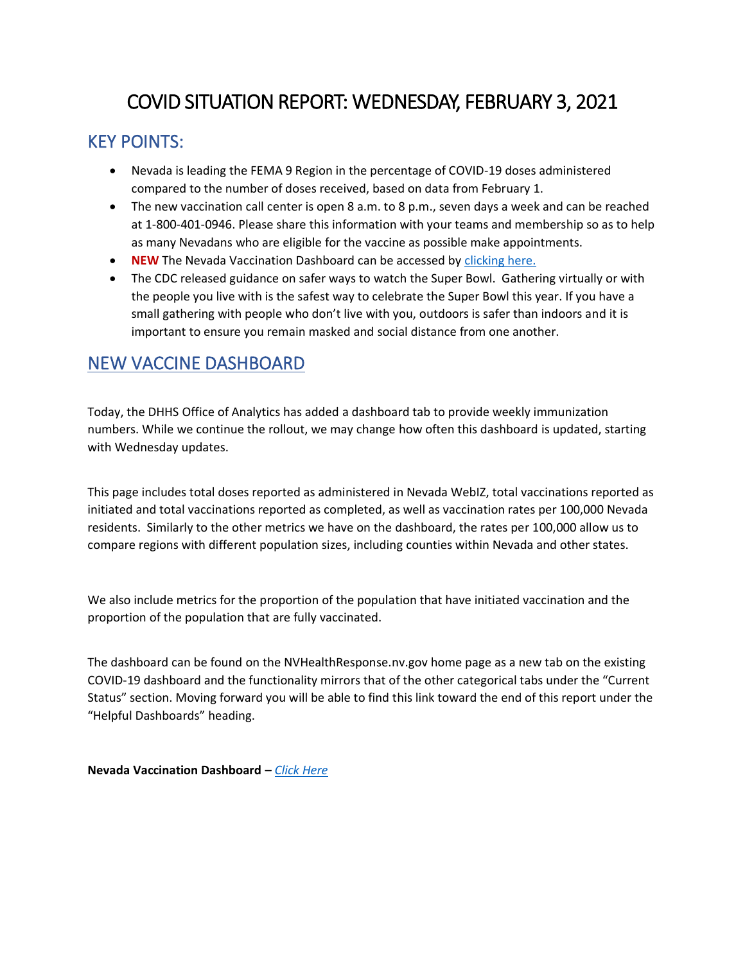## COVID SITUATION REPORT: WEDNESDAY, FEBRUARY 3, 2021

## KEY POINTS:

- Nevada is leading the FEMA 9 Region in the percentage of COVID-19 doses administered compared to the number of doses received, based on data from February 1.
- The new vaccination call center is open 8 a.m. to 8 p.m., seven days a week and can be reached at 1-800-401-0946. Please share this information with your teams and membership so as to help as many Nevadans who are eligible for the vaccine as possible make appointments.
- **NEW** The Nevada Vaccination Dashboard can be accessed by [clicking here.](https://app.powerbigov.us/view?r=eyJrIjoiMjA2ZThiOWUtM2FlNS00MGY5LWFmYjUtNmQwNTQ3Nzg5N2I2IiwidCI6ImU0YTM0MGU2LWI4OWUtNGU2OC04ZWFhLTE1NDRkMjcwMzk4MCJ9)
- The CDC released guidance on safer ways to watch the Super Bowl. Gathering virtually or with the people you live with is the safest way to celebrate the Super Bowl this year. If you have a small gathering with people who don't live with you, outdoors is safer than indoors and it is important to ensure you remain masked and social distance from one another.

### NEW VACCINE DASHBOARD

Today, the DHHS Office of Analytics has added a dashboard tab to provide weekly immunization numbers. While we continue the rollout, we may change how often this dashboard is updated, starting with Wednesday updates.

This page includes total doses reported as administered in Nevada WebIZ, total vaccinations reported as initiated and total vaccinations reported as completed, as well as vaccination rates per 100,000 Nevada residents. Similarly to the other metrics we have on the dashboard, the rates per 100,000 allow us to compare regions with different population sizes, including counties within Nevada and other states.

We also include metrics for the proportion of the population that have initiated vaccination and the proportion of the population that are fully vaccinated.

The dashboard can be found on the NVHealthResponse.nv.gov home page as a new tab on the existing COVID-19 dashboard and the functionality mirrors that of the other categorical tabs under the "Current Status" section. Moving forward you will be able to find this link toward the end of this report under the "Helpful Dashboards" heading.

**Nevada Vaccination Dashboard –** *[Click Here](https://app.powerbigov.us/view?r=eyJrIjoiMjA2ZThiOWUtM2FlNS00MGY5LWFmYjUtNmQwNTQ3Nzg5N2I2IiwidCI6ImU0YTM0MGU2LWI4OWUtNGU2OC04ZWFhLTE1NDRkMjcwMzk4MCJ9)*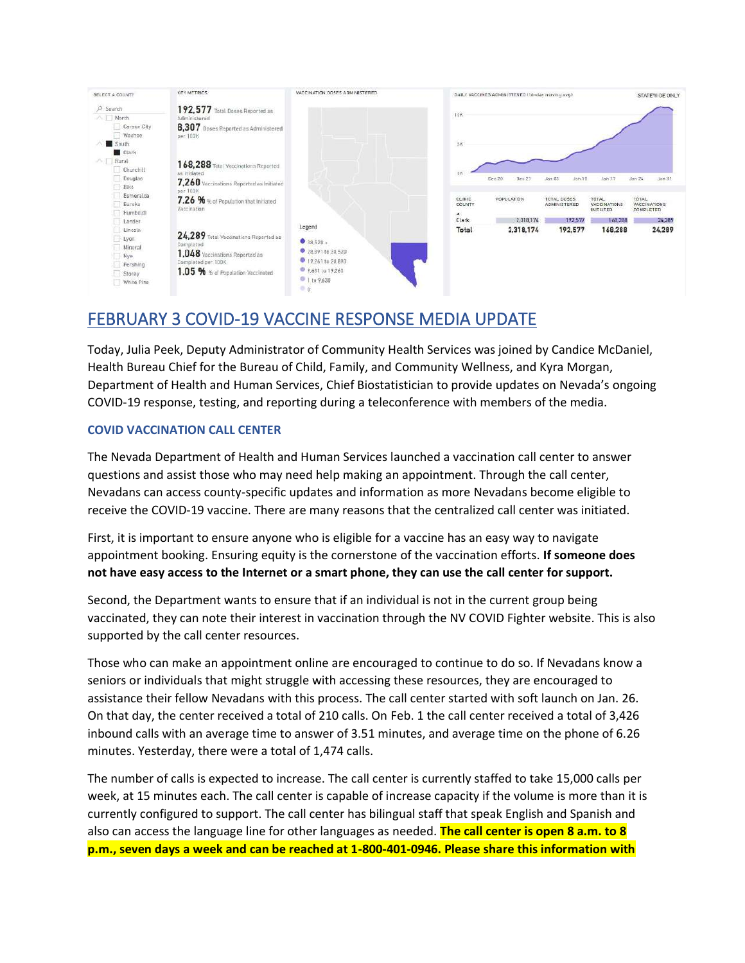

## FEBRUARY 3 COVID-19 VACCINE RESPONSE MEDIA UPDATE

Today, Julia Peek, Deputy Administrator of Community Health Services was joined by Candice McDaniel, Health Bureau Chief for the Bureau of Child, Family, and Community Wellness, and Kyra Morgan, Department of Health and Human Services, Chief Biostatistician to provide updates on Nevada's ongoing COVID-19 response, testing, and reporting during a teleconference with members of the media.

### **COVID VACCINATION CALL CENTER**

The Nevada Department of Health and Human Services launched a vaccination call center to answer questions and assist those who may need help making an appointment. Through the call center, Nevadans can access county-specific updates and information as more Nevadans become eligible to receive the COVID-19 vaccine. There are many reasons that the centralized call center was initiated.

First, it is important to ensure anyone who is eligible for a vaccine has an easy way to navigate appointment booking. Ensuring equity is the cornerstone of the vaccination efforts. **If someone does not have easy access to the Internet or a smart phone, they can use the call center for support.** 

Second, the Department wants to ensure that if an individual is not in the current group being vaccinated, they can note their interest in vaccination through the NV COVID Fighter website. This is also supported by the call center resources.

Those who can make an appointment online are encouraged to continue to do so. If Nevadans know a seniors or individuals that might struggle with accessing these resources, they are encouraged to assistance their fellow Nevadans with this process. The call center started with soft launch on Jan. 26. On that day, the center received a total of 210 calls. On Feb. 1 the call center received a total of 3,426 inbound calls with an average time to answer of 3.51 minutes, and average time on the phone of 6.26 minutes. Yesterday, there were a total of 1,474 calls.

The number of calls is expected to increase. The call center is currently staffed to take 15,000 calls per week, at 15 minutes each. The call center is capable of increase capacity if the volume is more than it is currently configured to support. The call center has bilingual staff that speak English and Spanish and also can access the language line for other languages as needed. **The call center is open 8 a.m. to 8 p.m., seven days a week and can be reached at 1-800-401-0946. Please share this information with**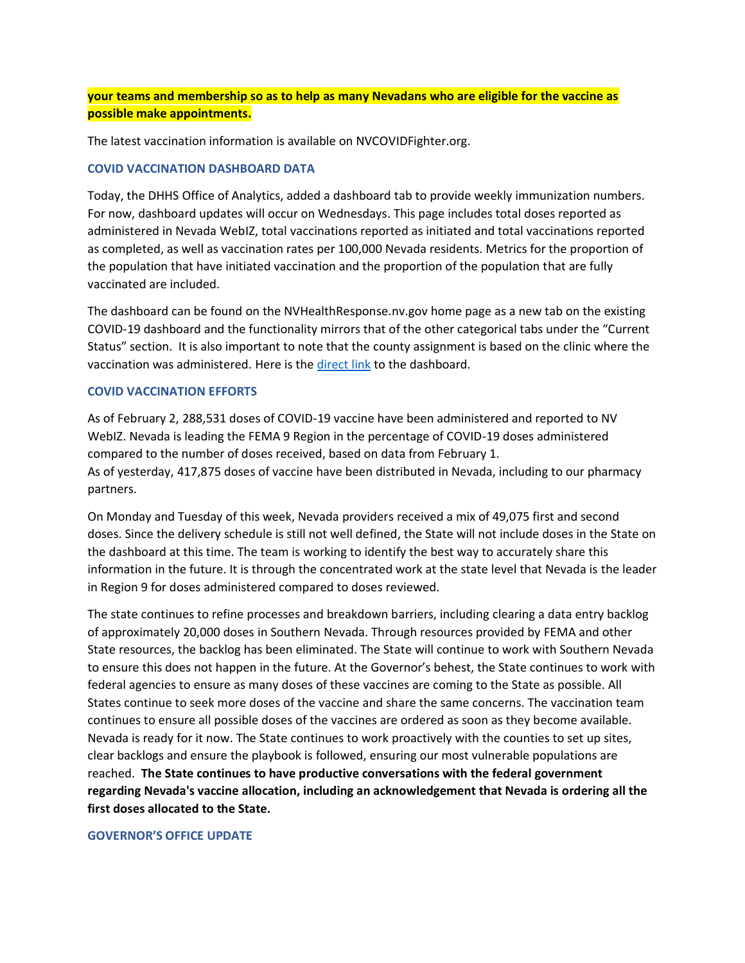### **your teams and membership so as to help as many Nevadans who are eligible for the vaccine as possible make appointments.**

The latest vaccination information is available on NVCOVIDFighter.org.

### **COVID VACCINATION DASHBOARD DATA**

Today, the DHHS Office of Analytics, added a dashboard tab to provide weekly immunization numbers. For now, dashboard updates will occur on Wednesdays. This page includes total doses reported as administered in Nevada WebIZ, total vaccinations reported as initiated and total vaccinations reported as completed, as well as vaccination rates per 100,000 Nevada residents. Metrics for the proportion of the population that have initiated vaccination and the proportion of the population that are fully vaccinated are included.

The dashboard can be found on the NVHealthResponse.nv.gov home page as a new tab on the existing COVID-19 dashboard and the functionality mirrors that of the other categorical tabs under the "Current Status" section. It is also important to note that the county assignment is based on the clinic where the vaccination was administered. Here is th[e direct link](https://app.powerbigov.us/view?r=eyJrIjoiMjA2ZThiOWUtM2FlNS00MGY5LWFmYjUtNmQwNTQ3Nzg5N2I2IiwidCI6ImU0YTM0MGU2LWI4OWUtNGU2OC04ZWFhLTE1NDRkMjcwMzk4MCJ9) to the dashboard.

### **COVID VACCINATION EFFORTS**

As of February 2, 288,531 doses of COVID-19 vaccine have been administered and reported to NV WebIZ. Nevada is leading the FEMA 9 Region in the percentage of COVID-19 doses administered compared to the number of doses received, based on data from February 1. As of yesterday, 417,875 doses of vaccine have been distributed in Nevada, including to our pharmacy partners.

On Monday and Tuesday of this week, Nevada providers received a mix of 49,075 first and second doses. Since the delivery schedule is still not well defined, the State will not include doses in the State on the dashboard at this time. The team is working to identify the best way to accurately share this information in the future. It is through the concentrated work at the state level that Nevada is the leader in Region 9 for doses administered compared to doses reviewed.

The state continues to refine processes and breakdown barriers, including clearing a data entry backlog of approximately 20,000 doses in Southern Nevada. Through resources provided by FEMA and other State resources, the backlog has been eliminated. The State will continue to work with Southern Nevada to ensure this does not happen in the future. At the Governor's behest, the State continues to work with federal agencies to ensure as many doses of these vaccines are coming to the State as possible. All States continue to seek more doses of the vaccine and share the same concerns. The vaccination team continues to ensure all possible doses of the vaccines are ordered as soon as they become available. Nevada is ready for it now. The State continues to work proactively with the counties to set up sites, clear backlogs and ensure the playbook is followed, ensuring our most vulnerable populations are reached. **The State continues to have productive conversations with the federal government regarding Nevada's vaccine allocation, including an acknowledgement that Nevada is ordering all the first doses allocated to the State.** 

#### **GOVERNOR'S OFFICE UPDATE**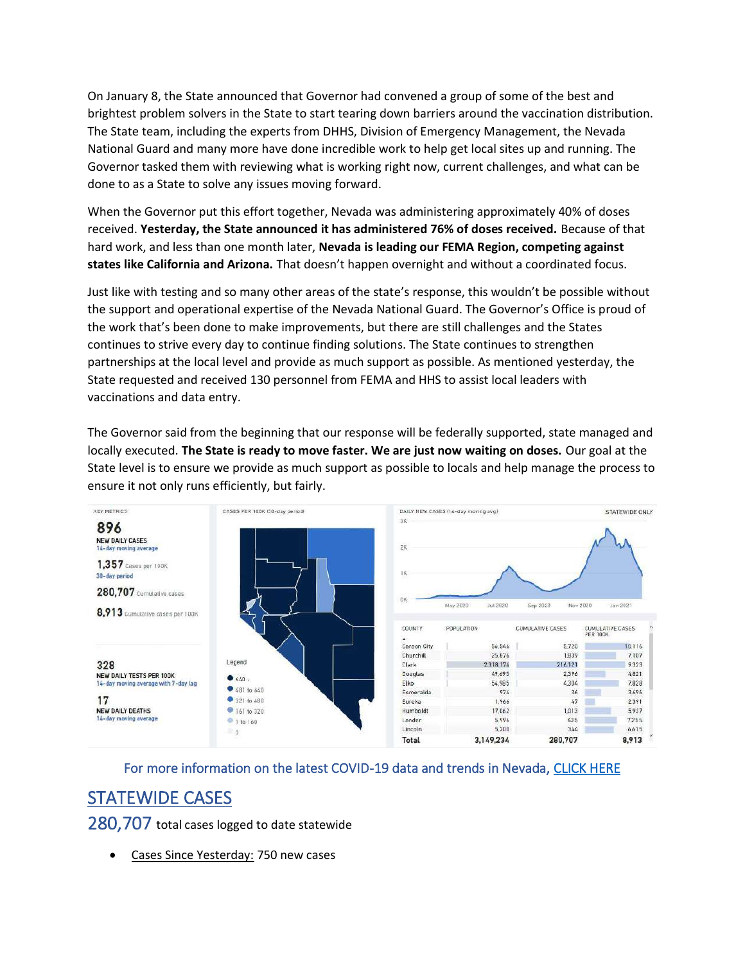On January 8, the State announced that Governor had convened a group of some of the best and brightest problem solvers in the State to start tearing down barriers around the vaccination distribution. The State team, including the experts from DHHS, Division of Emergency Management, the Nevada National Guard and many more have done incredible work to help get local sites up and running. The Governor tasked them with reviewing what is working right now, current challenges, and what can be done to as a State to solve any issues moving forward.

When the Governor put this effort together, Nevada was administering approximately 40% of doses received. **Yesterday, the State announced it has administered 76% of doses received.** Because of that hard work, and less than one month later, **Nevada is leading our FEMA Region, competing against states like California and Arizona.** That doesn't happen overnight and without a coordinated focus.

Just like with testing and so many other areas of the state's response, this wouldn't be possible without the support and operational expertise of the Nevada National Guard. The Governor's Office is proud of the work that's been done to make improvements, but there are still challenges and the States continues to strive every day to continue finding solutions. The State continues to strengthen partnerships at the local level and provide as much support as possible. As mentioned yesterday, the State requested and received 130 personnel from FEMA and HHS to assist local leaders with vaccinations and data entry.

The Governor said from the beginning that our response will be federally supported, state managed and locally executed. **The State is ready to move faster. We are just now waiting on doses.** Our goal at the State level is to ensure we provide as much support as possible to locals and help manage the process to ensure it not only runs efficiently, but fairly.



For more information on the latest COVID-19 data and trends in Nevada, [CLICK HERE](https://app.powerbigov.us/view?r=eyJrIjoiMjA2ZThiOWUtM2FlNS00MGY5LWFmYjUtNmQwNTQ3Nzg5N2I2IiwidCI6ImU0YTM0MGU2LWI4OWUtNGU2OC04ZWFhLTE1NDRkMjcwMzk4MCJ9)

## STATEWIDE CASES

280,707 total cases logged to date statewide

Cases Since Yesterday: 750 new cases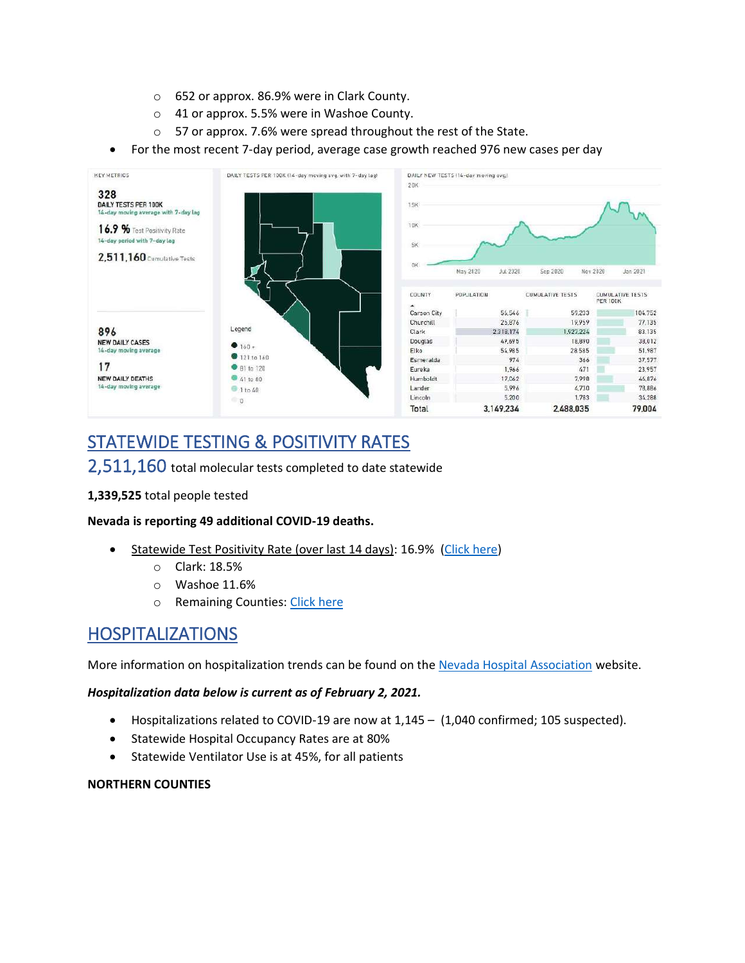- o 652 or approx. 86.9% were in Clark County.
- o 41 or approx. 5.5% were in Washoe County.
- o 57 or approx. 7.6% were spread throughout the rest of the State.
- For the most recent 7-day period, average case growth reached 976 new cases per day



# STATEWIDE TESTING & POSITIVITY RATES

### 2,511,160 total molecular tests completed to date statewide

### **1,339,525** total people tested

### **Nevada is reporting 49 additional COVID-19 deaths.**

- Statewide Test Positivity Rate (over last 14 days): 16.9% [\(Click here\)](https://app.powerbigov.us/view?r=eyJrIjoiMjA2ZThiOWUtM2FlNS00MGY5LWFmYjUtNmQwNTQ3Nzg5N2I2IiwidCI6ImU0YTM0MGU2LWI4OWUtNGU2OC04ZWFhLTE1NDRkMjcwMzk4MCJ9)
	- o Clark: 18.5%
	- o Washoe 11.6%
	- o Remaining Counties: [Click here](https://app.powerbigov.us/view?r=eyJrIjoiMjA2ZThiOWUtM2FlNS00MGY5LWFmYjUtNmQwNTQ3Nzg5N2I2IiwidCI6ImU0YTM0MGU2LWI4OWUtNGU2OC04ZWFhLTE1NDRkMjcwMzk4MCJ9)

### HOSPITALIZATIONS

More information on hospitalization trends can be found on th[e Nevada Hospital Association](http://nvha.net/news-and-updates-on-the-covid-19) website.

### *Hospitalization data below is current as of February 2, 2021.*

- Hospitalizations related to COVID-19 are now at 1,145 (1,040 confirmed; 105 suspected).
- Statewide Hospital Occupancy Rates are at 80%
- Statewide Ventilator Use is at 45%, for all patients

### **NORTHERN COUNTIES**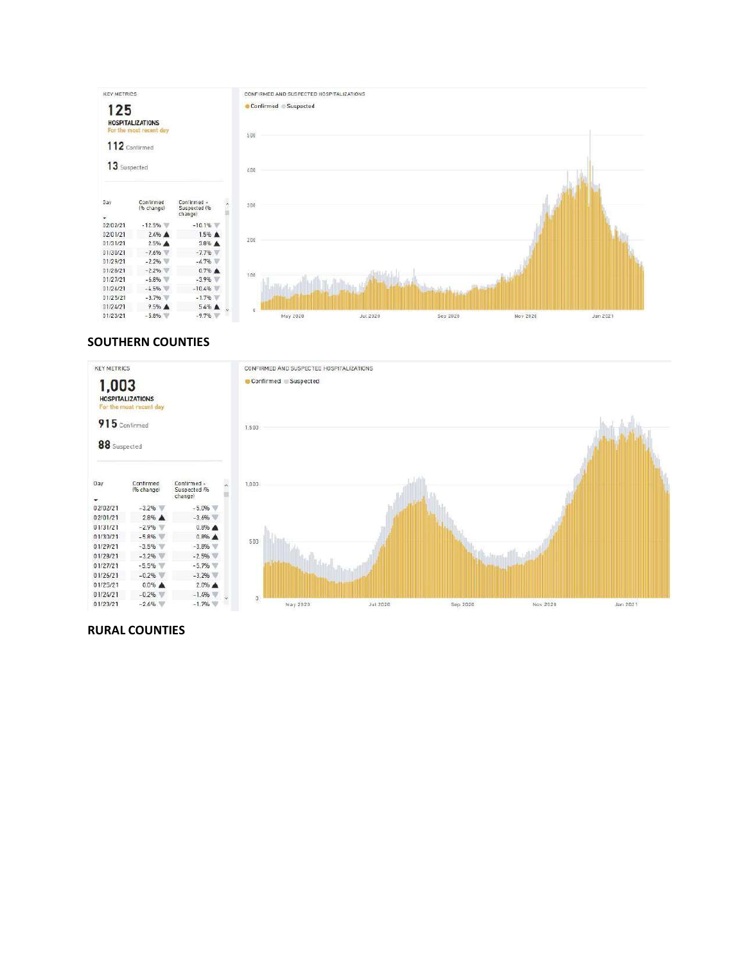

### **SOUTHERN COUNTIES**



### **RURAL COUNTIES**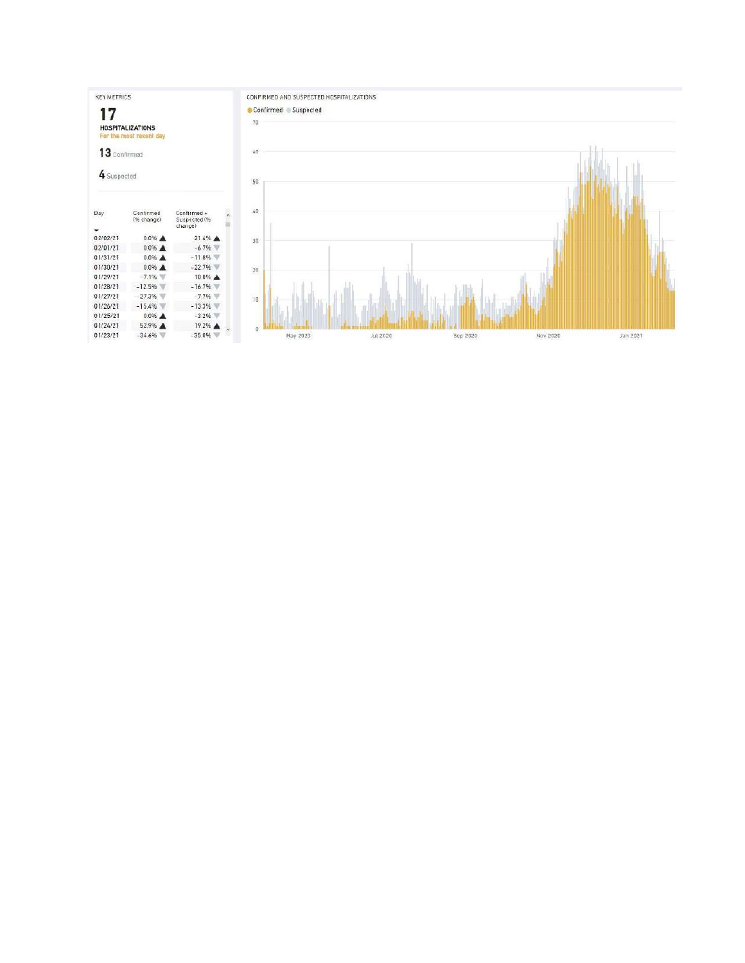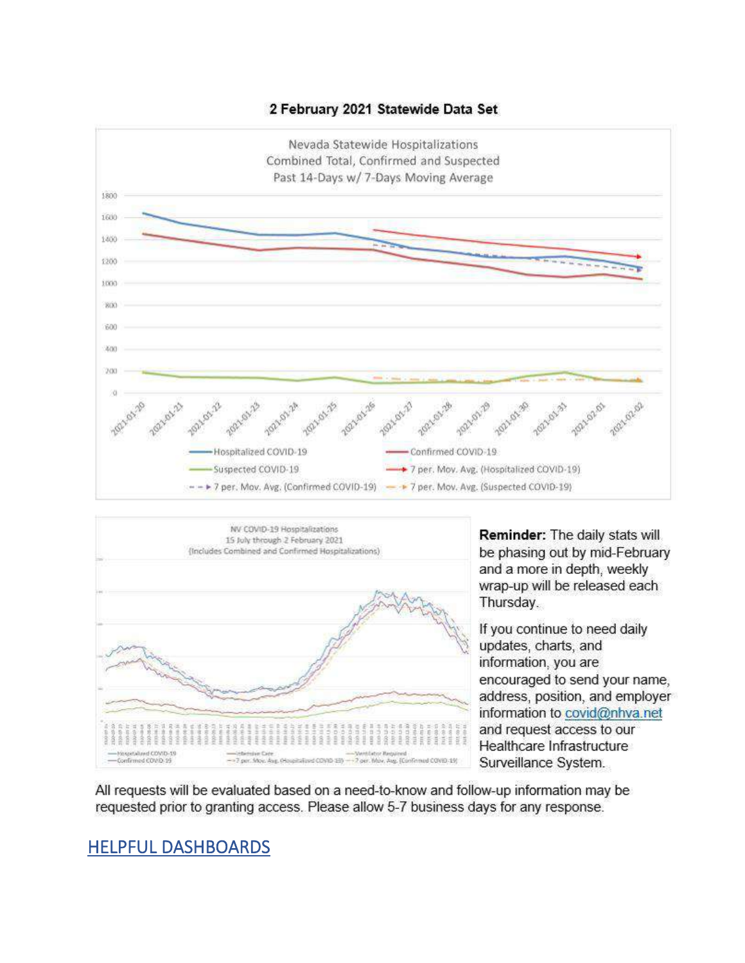





Reminder: The daily stats will be phasing out by mid-February and a more in depth, weekly wrap-up will be released each Thursday.

If you continue to need daily updates, charts, and information, you are encouraged to send your name. address, position, and employer information to covid@nhva.net and request access to our Healthcare Infrastructure Surveillance System.

All requests will be evaluated based on a need-to-know and follow-up information may be requested prior to granting access. Please allow 5-7 business days for any response.

## HELPFUL DASHBOARDS